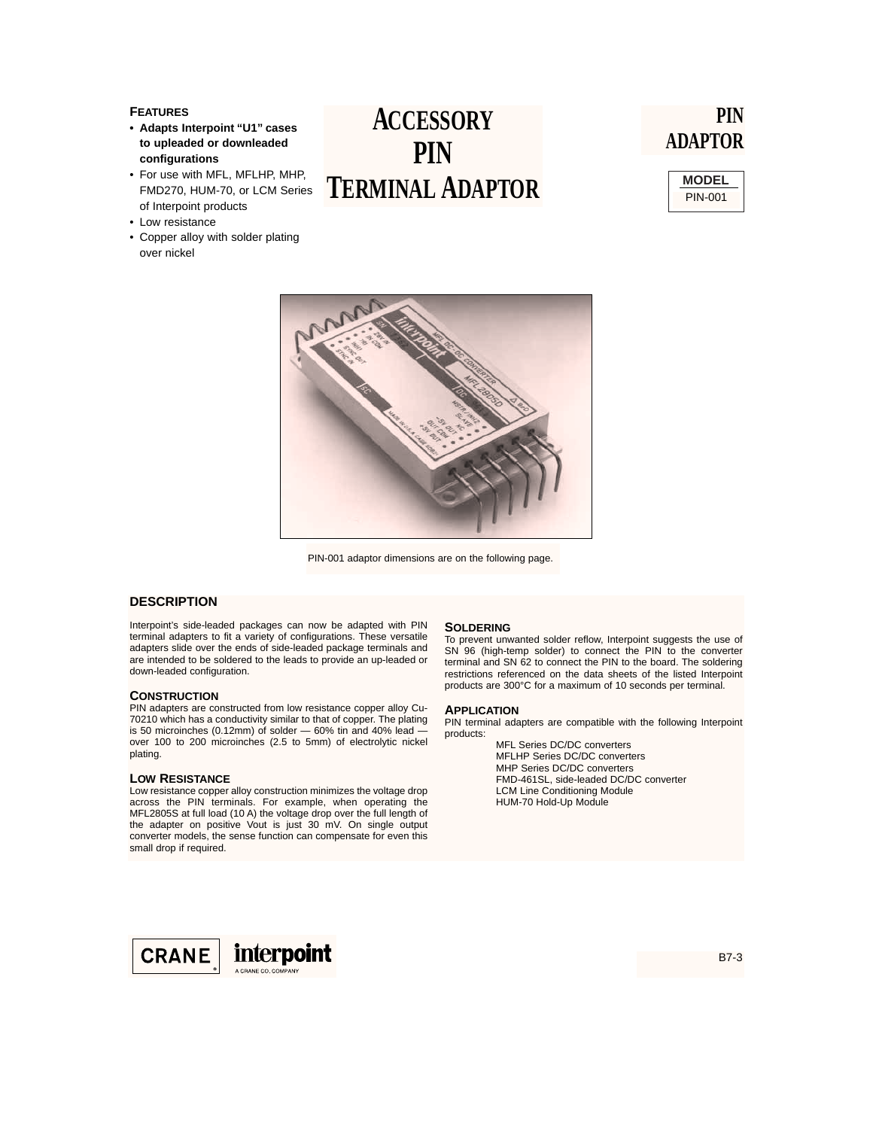## **FEATURES**

- **Adapts Interpoint "U1" cases to upleaded or downleaded configurations**
- For use with MFL, MFLHP, MHP, FMD270, HUM-70, or LCM Series of Interpoint products
- Low resistance
- Copper alloy with solder plating over nickel

# **ACCESSORY PIN TERMINAL ADAPTOR**

# **PIN ADAPTOR**





PIN-001 adaptor dimensions are on the following page.

### **DESCRIPTION**

Interpoint's side-leaded packages can now be adapted with PIN terminal adapters to fit a variety of configurations. These versatile adapters slide over the ends of side-leaded package terminals and are intended to be soldered to the leads to provide an up-leaded or down-leaded configuration.

### **CONSTRUCTION**

PIN adapters are constructed from low resistance copper alloy Cu-70210 which has a conductivity similar to that of copper. The plating is 50 microinches (0.12mm) of solder  $-$  60% tin and 40% lead over 100 to 200 microinches (2.5 to 5mm) of electrolytic nickel plating.

#### **LOW RESISTANCE**

Low resistance copper alloy construction minimizes the voltage drop across the PIN terminals. For example, when operating the MFL2805S at full load (10 A) the voltage drop over the full length of the adapter on positive Vout is just 30 mV. On single output converter models, the sense function can compensate for even this small drop if required.

#### **SOLDERING**

To prevent unwanted solder reflow, Interpoint suggests the use of SN 96 (high-temp solder) to connect the PIN to the converter terminal and SN 62 to connect the PIN to the board. The soldering restrictions referenced on the data sheets of the listed Interpoint products are 300°C for a maximum of 10 seconds per terminal.

#### **APPLICATION**

PIN terminal adapters are compatible with the following Interpoint products:

MFL Series DC/DC converters MFLHP Series DC/DC converters MHP Series DC/DC converters FMD-461SL, side-leaded DC/DC converter LCM Line Conditioning Module HUM-70 Hold-Up Module